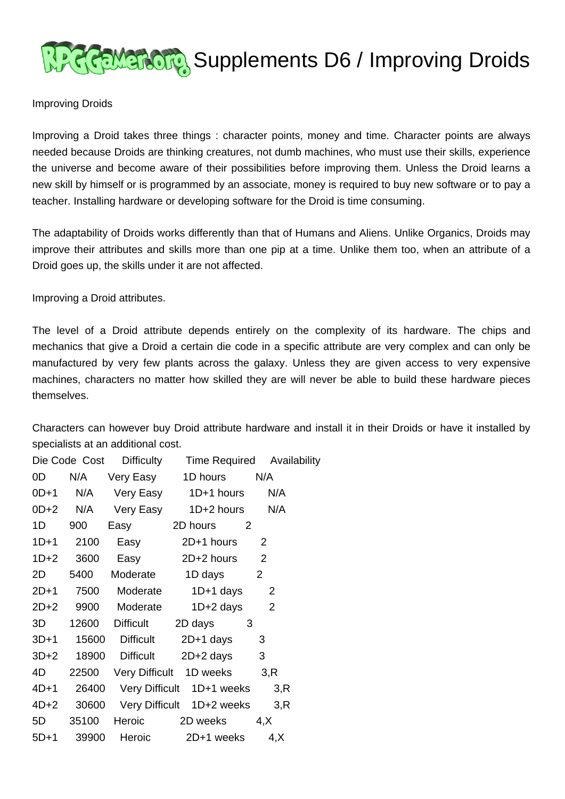## **अन्तर नायदायता, Supplements D6 / Improving Droids**

## Improving Droids

Improving a Droid takes three things : character points, money and time. Character points are always needed because Droids are thinking creatures, not dumb machines, who must use their skills, experience the universe and become aware of their possibilities before improving them. Unless the Droid learns a new skill by himself or is programmed by an associate, money is required to buy new software or to pay a teacher. Installing hardware or developing software for the Droid is time consuming.

The adaptability of Droids works differently than that of Humans and Aliens. Unlike Organics, Droids may improve their attributes and skills more than one pip at a time. Unlike them too, when an attribute of a Droid goes up, the skills under it are not affected.

Improving a Droid attributes.

The level of a Droid attribute depends entirely on the complexity of its hardware. The chips and mechanics that give a Droid a certain die code in a specific attribute are very complex and can only be manufactured by very few plants across the galaxy. Unless they are given access to very expensive machines, characters no matter how skilled they are will never be able to build these hardware pieces themselves.

Characters can however buy Droid attribute hardware and install it in their Droids or have it installed by specialists at an additional cost.

|        |           | Die Code Cost Difficulty | Time Required Availability      |                |
|--------|-----------|--------------------------|---------------------------------|----------------|
| 0D     | N/A       | Very Easy 1D hours       |                                 | N/A            |
| $OD+1$ |           |                          | N/A Very Easy 1D+1 hours        | N/A            |
|        |           |                          | 0D+2 N/A Very Easy 1D+2 hours   | N/A            |
| 1D -   | 900       | Easy 2D hours            | 2                               |                |
|        | 1D+1 2100 |                          | Easy 2D+1 hours                 | 2              |
| $1D+2$ | 3600      |                          | Easy 2D+2 hours                 | 2              |
| 2D -   | 5400      | Moderate 1D days         |                                 | 2              |
|        |           | 2D+1 7500 Moderate       | 1D+1 days                       | 2              |
| $2D+2$ |           | 9900 Moderate            | $1D+2$ days                     | $\overline{2}$ |
| 3D     | 12600     | <b>Difficult</b>         | 2D days<br>3                    |                |
| $3D+1$ | 15600     |                          | Difficult 2D+1 days 3           |                |
| $3D+2$ | 18900     |                          | Difficult 2D+2 days             | 3              |
| 4D     |           |                          | 22500 Very Difficult 1D weeks   | 3, R           |
| 4D+1   |           |                          | 26400 Very Difficult 1D+1 weeks | 3, R           |
| $4D+2$ |           |                          | 30600 Very Difficult 1D+2 weeks | 3, R           |
| 5D     | 35100     | Heroic                   | 2D weeks                        | 4, X           |
| $5D+1$ | 39900     |                          | Heroic 2D+1 weeks               | 4, X           |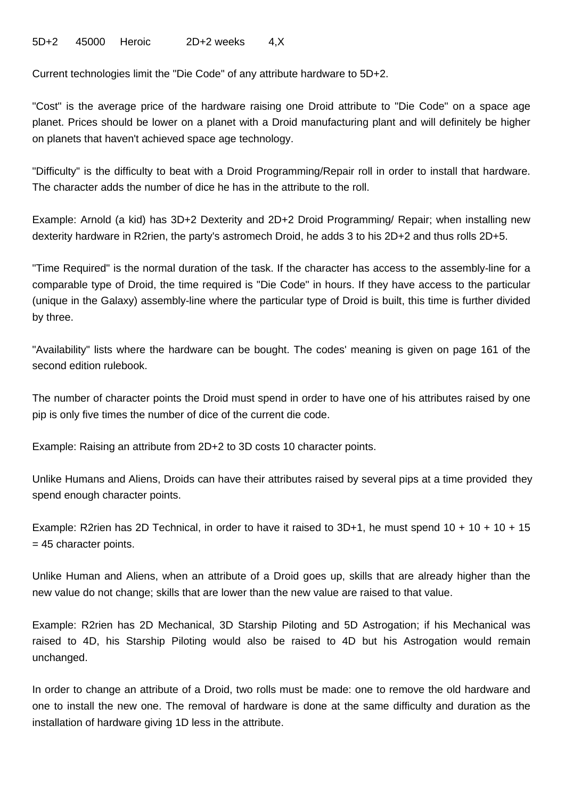Current technologies limit the "Die Code" of any attribute hardware to 5D+2.

"Cost" is the average price of the hardware raising one Droid attribute to "Die Code" on a space age planet. Prices should be lower on a planet with a Droid manufacturing plant and will definitely be higher on planets that haven't achieved space age technology.

"Difficulty" is the difficulty to beat with a Droid Programming/Repair roll in order to install that hardware. The character adds the number of dice he has in the attribute to the roll.

Example: Arnold (a kid) has 3D+2 Dexterity and 2D+2 Droid Programming/ Repair; when installing new dexterity hardware in R2rien, the party's astromech Droid, he adds 3 to his 2D+2 and thus rolls 2D+5.

"Time Required" is the normal duration of the task. If the character has access to the assembly-line for a comparable type of Droid, the time required is "Die Code" in hours. If they have access to the particular (unique in the Galaxy) assembly-line where the particular type of Droid is built, this time is further divided by three.

"Availability" lists where the hardware can be bought. The codes' meaning is given on page 161 of the second edition rulebook.

The number of character points the Droid must spend in order to have one of his attributes raised by one pip is only five times the number of dice of the current die code.

Example: Raising an attribute from 2D+2 to 3D costs 10 character points.

Unlike Humans and Aliens, Droids can have their attributes raised by several pips at a time provided they spend enough character points.

Example: R2rien has 2D Technical, in order to have it raised to 3D+1, he must spend 10 + 10 + 10 + 15 = 45 character points.

Unlike Human and Aliens, when an attribute of a Droid goes up, skills that are already higher than the new value do not change; skills that are lower than the new value are raised to that value.

Example: R2rien has 2D Mechanical, 3D Starship Piloting and 5D Astrogation; if his Mechanical was raised to 4D, his Starship Piloting would also be raised to 4D but his Astrogation would remain unchanged.

In order to change an attribute of a Droid, two rolls must be made: one to remove the old hardware and one to install the new one. The removal of hardware is done at the same difficulty and duration as the installation of hardware giving 1D less in the attribute.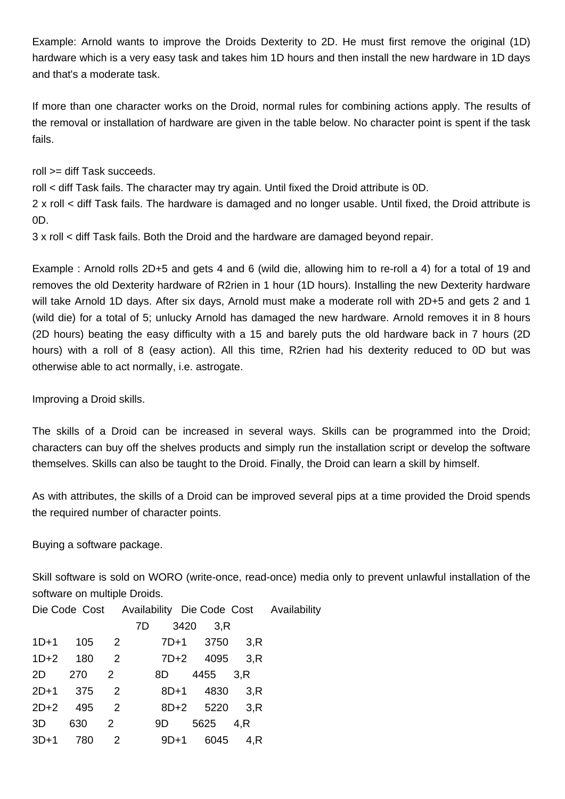Example: Arnold wants to improve the Droids Dexterity to 2D. He must first remove the original (1D) hardware which is a very easy task and takes him 1D hours and then install the new hardware in 1D days and that's a moderate task.

If more than one character works on the Droid, normal rules for combining actions apply. The results of the removal or installation of hardware are given in the table below. No character point is spent if the task fails.

roll >= diff Task succeeds.

roll < diff Task fails. The character may try again. Until fixed the Droid attribute is 0D.

2 x roll < diff Task fails. The hardware is damaged and no longer usable. Until fixed, the Droid attribute is 0D.

3 x roll < diff Task fails. Both the Droid and the hardware are damaged beyond repair.

Example : Arnold rolls 2D+5 and gets 4 and 6 (wild die, allowing him to re-roll a 4) for a total of 19 and removes the old Dexterity hardware of R2rien in 1 hour (1D hours). Installing the new Dexterity hardware will take Arnold 1D days. After six days, Arnold must make a moderate roll with 2D+5 and gets 2 and 1 (wild die) for a total of 5; unlucky Arnold has damaged the new hardware. Arnold removes it in 8 hours (2D hours) beating the easy difficulty with a 15 and barely puts the old hardware back in 7 hours (2D hours) with a roll of 8 (easy action). All this time, R2rien had his dexterity reduced to 0D but was otherwise able to act normally, i.e. astrogate.

Improving a Droid skills.

The skills of a Droid can be increased in several ways. Skills can be programmed into the Droid; characters can buy off the shelves products and simply run the installation script or develop the software themselves. Skills can also be taught to the Droid. Finally, the Droid can learn a skill by himself.

As with attributes, the skills of a Droid can be improved several pips at a time provided the Droid spends the required number of character points.

Buying a software package.

Skill software is sold on WORO (write-once, read-once) media only to prevent unlawful installation of the software on multiple Droids.

| Die Code Cost Availability Die Code Cost Availability |                                   |                            |      |           |               |  |
|-------------------------------------------------------|-----------------------------------|----------------------------|------|-----------|---------------|--|
|                                                       |                                   |                            | 7D   | 3420      | 3.R           |  |
| $1D+1$                                                | 105 2                             |                            |      | 7D+1 3750 | 3.R           |  |
| $1D + 2$                                              | 180                               | $\overline{\phantom{a}}$   |      |           | 7D+2 4095 3,R |  |
| 2D                                                    | 270<br>$\overline{\phantom{a}}$ 2 |                            | 8D — |           | 4455 3,R      |  |
| $2D+1$ 375                                            |                                   | $\overline{\phantom{0}}^2$ |      |           | 8D+1 4830 3,R |  |
| $2D+2$                                                | 495                               | 2                          |      | 8D+2 5220 | 3,R           |  |
| 3D                                                    | 630                               | 2                          | 9D   | 5625      | 4.R           |  |
| $3D+1$                                                | 780                               | 2                          |      | 9D+1      | 6045<br>4.R   |  |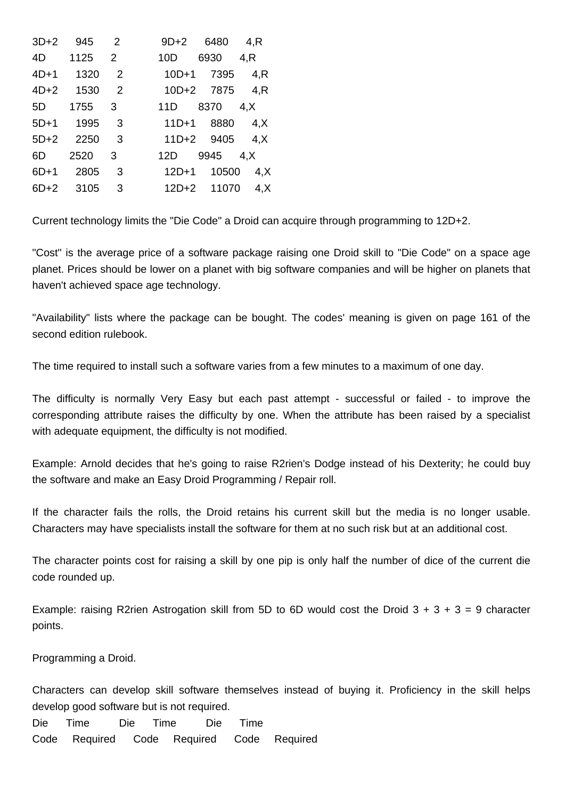| $3D+2$ | 945  | $\overline{2}$ | 9D+2      | 6480        | 4, R |
|--------|------|----------------|-----------|-------------|------|
| 4D     | 1125 | 2              | 10D       | 6930        | 4.R  |
| $4D+1$ | 1320 | $\mathcal{P}$  |           | 10D+1 7395  | 4,R  |
| $4D+2$ | 1530 | $\mathcal{P}$  |           | 10D+2 7875  | 4.R  |
| 5D     | 1755 | 3              | 11D       | 8370        | 4, X |
| $5D+1$ | 1995 | 3              | $11D+1$   | 8880        | 4, X |
| $5D+2$ | 2250 | 3              | $11D + 2$ | 9405        | 4, X |
| 6D     | 2520 | 3              | 12D       | 9945        | 4, X |
| $6D+1$ | 2805 | 3              | $12D+1$   | 10500       | 4, X |
| $6D+2$ | 3105 | 3              |           | 12D+2 11070 | 4, X |

Current technology limits the "Die Code" a Droid can acquire through programming to 12D+2.

"Cost" is the average price of a software package raising one Droid skill to "Die Code" on a space age planet. Prices should be lower on a planet with big software companies and will be higher on planets that haven't achieved space age technology.

"Availability" lists where the package can be bought. The codes' meaning is given on page 161 of the second edition rulebook.

The time required to install such a software varies from a few minutes to a maximum of one day.

The difficulty is normally Very Easy but each past attempt - successful or failed - to improve the corresponding attribute raises the difficulty by one. When the attribute has been raised by a specialist with adequate equipment, the difficulty is not modified.

Example: Arnold decides that he's going to raise R2rien's Dodge instead of his Dexterity; he could buy the software and make an Easy Droid Programming / Repair roll.

If the character fails the rolls, the Droid retains his current skill but the media is no longer usable. Characters may have specialists install the software for them at no such risk but at an additional cost.

The character points cost for raising a skill by one pip is only half the number of dice of the current die code rounded up.

Example: raising R2rien Astrogation skill from 5D to 6D would cost the Droid  $3 + 3 + 3 = 9$  character points.

Programming a Droid.

Characters can develop skill software themselves instead of buying it. Proficiency in the skill helps develop good software but is not required.

Die Time Die Time Die Time Code Required Code Required Code Required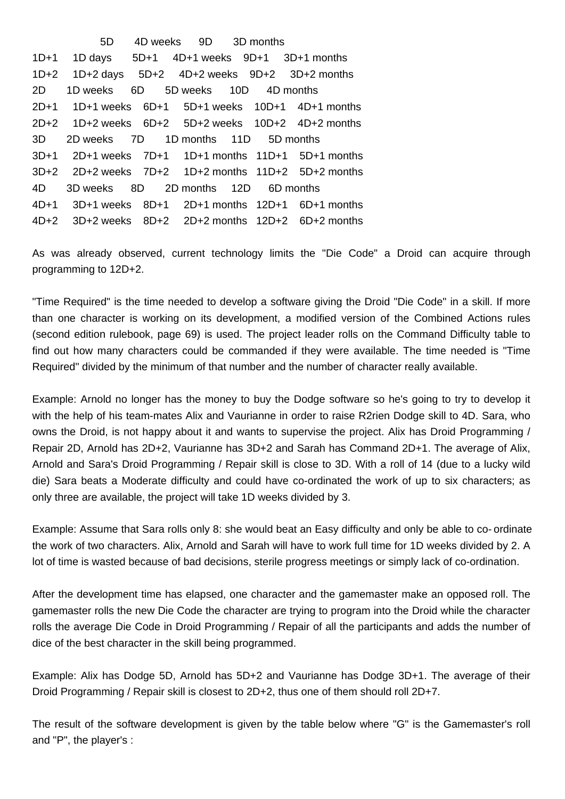| 2D<br>4D — |  | 5D 4D weeks 9D 3D months<br>1D+1 1D days 5D+1 4D+1 weeks 9D+1 3D+1 months<br>1D+2 1D+2 days 5D+2 4D+2 weeks 9D+2 3D+2 months<br>1D weeks 6D 5D weeks 10D 4D months<br>2D+1 1D+1 weeks 6D+1 5D+1 weeks 10D+1 4D+1 months<br>2D+2 1D+2 weeks 6D+2 5D+2 weeks 10D+2 4D+2 months<br>3D 2D weeks 7D 1D months 11D 5D months<br>3D+1 2D+1 weeks 7D+1 1D+1 months 11D+1 5D+1 months<br>$3D+2$ 2D+2 weeks $7D+2$ 1D+2 months 11D+2 5D+2 months<br>3D weeks 8D 2D months 12D 6D months<br>4D+1 3D+1 weeks 8D+1 2D+1 months 12D+1 6D+1 months<br>4D+2 3D+2 weeks 8D+2 2D+2 months 12D+2 6D+2 months |
|------------|--|-------------------------------------------------------------------------------------------------------------------------------------------------------------------------------------------------------------------------------------------------------------------------------------------------------------------------------------------------------------------------------------------------------------------------------------------------------------------------------------------------------------------------------------------------------------------------------------------|

```
As was already observed, current technology limits the "Die Code" a Droid can acquire through
programming to 12D+2.
```
"Time Required" is the time needed to develop a software giving the Droid "Die Code" in a skill. If more than one character is working on its development, a modified version of the Combined Actions rules (second edition rulebook, page 69) is used. The project leader rolls on the Command Difficulty table to find out how many characters could be commanded if they were available. The time needed is "Time Required" divided by the minimum of that number and the number of character really available.

Example: Arnold no longer has the money to buy the Dodge software so he's going to try to develop it with the help of his team-mates Alix and Vaurianne in order to raise R2rien Dodge skill to 4D. Sara, who owns the Droid, is not happy about it and wants to supervise the project. Alix has Droid Programming / Repair 2D, Arnold has 2D+2, Vaurianne has 3D+2 and Sarah has Command 2D+1. The average of Alix, Arnold and Sara's Droid Programming / Repair skill is close to 3D. With a roll of 14 (due to a lucky wild die) Sara beats a Moderate difficulty and could have co-ordinated the work of up to six characters; as only three are available, the project will take 1D weeks divided by 3.

Example: Assume that Sara rolls only 8: she would beat an Easy difficulty and only be able to co- ordinate the work of two characters. Alix, Arnold and Sarah will have to work full time for 1D weeks divided by 2. A lot of time is wasted because of bad decisions, sterile progress meetings or simply lack of co-ordination.

After the development time has elapsed, one character and the gamemaster make an opposed roll. The gamemaster rolls the new Die Code the character are trying to program into the Droid while the character rolls the average Die Code in Droid Programming / Repair of all the participants and adds the number of dice of the best character in the skill being programmed.

Example: Alix has Dodge 5D, Arnold has 5D+2 and Vaurianne has Dodge 3D+1. The average of their Droid Programming / Repair skill is closest to 2D+2, thus one of them should roll 2D+7.

The result of the software development is given by the table below where "G" is the Gamemaster's roll and "P", the player's :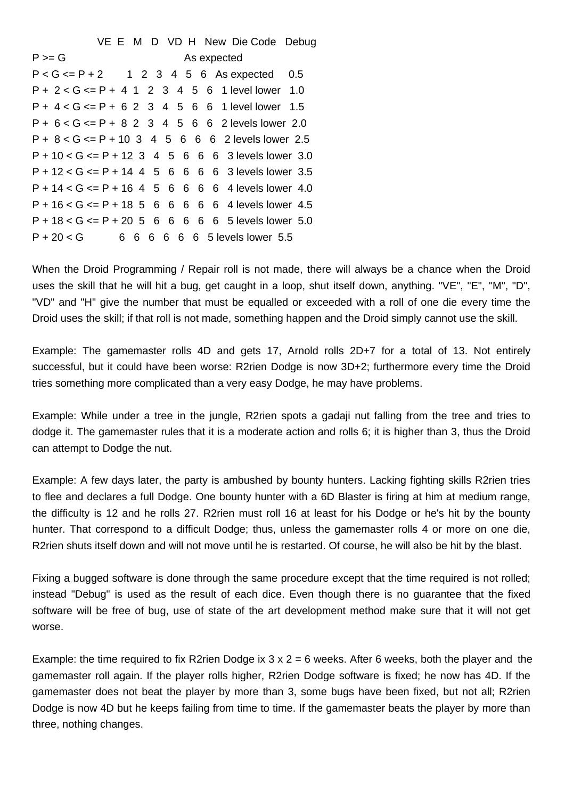VE E M D VD H New Die Code Debug  $P \geq G$  As expected  $P < G \le P + 2$  1 2 3 4 5 6 As expected 0.5  $P + 2 < G \le P + 4 1 2 3 4 5 6 1$  level lower 1.0  $P + 4 < G \le P + 6234566661$  level lower 1.5 P + 6 < G <= P + 8 2 3 4 5 6 6 2 levels lower 2.0  $P + 8 < G \le P + 10$  3 4 5 6 6 6 2 levels lower 2.5  $P + 10 < G \le P + 12$  3 4 5 6 6 6 3 levels lower 3.0  $P + 12 < G \le P + 14$  4 5 6 6 6 6 3 levels lower 3.5  $P + 14 < G \le P + 164 + 56666$  6 4 levels lower 4.0  $P + 16 < G \le P + 18$  5 6 6 6 6 6 4 levels lower 4.5  $P + 18 < G \le P + 20$  5 6 6 6 6 6 5 levels lower 5.0 P + 20 < G 6 6 6 6 6 6 5 levels lower 5.5

When the Droid Programming / Repair roll is not made, there will always be a chance when the Droid uses the skill that he will hit a bug, get caught in a loop, shut itself down, anything. "VE", "E", "M", "D", "VD" and "H" give the number that must be equalled or exceeded with a roll of one die every time the Droid uses the skill; if that roll is not made, something happen and the Droid simply cannot use the skill.

Example: The gamemaster rolls 4D and gets 17, Arnold rolls 2D+7 for a total of 13. Not entirely successful, but it could have been worse: R2rien Dodge is now 3D+2; furthermore every time the Droid tries something more complicated than a very easy Dodge, he may have problems.

Example: While under a tree in the jungle, R2rien spots a gadaji nut falling from the tree and tries to dodge it. The gamemaster rules that it is a moderate action and rolls 6; it is higher than 3, thus the Droid can attempt to Dodge the nut.

Example: A few days later, the party is ambushed by bounty hunters. Lacking fighting skills R2rien tries to flee and declares a full Dodge. One bounty hunter with a 6D Blaster is firing at him at medium range, the difficulty is 12 and he rolls 27. R2rien must roll 16 at least for his Dodge or he's hit by the bounty hunter. That correspond to a difficult Dodge; thus, unless the gamemaster rolls 4 or more on one die, R2rien shuts itself down and will not move until he is restarted. Of course, he will also be hit by the blast.

Fixing a bugged software is done through the same procedure except that the time required is not rolled; instead "Debug" is used as the result of each dice. Even though there is no guarantee that the fixed software will be free of bug, use of state of the art development method make sure that it will not get worse.

Example: the time required to fix R2rien Dodge ix  $3 \times 2 = 6$  weeks. After 6 weeks, both the player and the gamemaster roll again. If the player rolls higher, R2rien Dodge software is fixed; he now has 4D. If the gamemaster does not beat the player by more than 3, some bugs have been fixed, but not all; R2rien Dodge is now 4D but he keeps failing from time to time. If the gamemaster beats the player by more than three, nothing changes.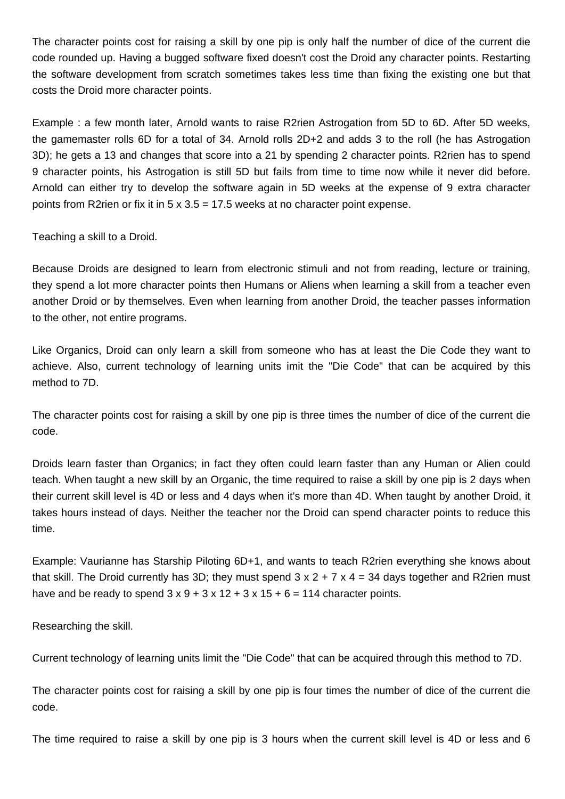The character points cost for raising a skill by one pip is only half the number of dice of the current die code rounded up. Having a bugged software fixed doesn't cost the Droid any character points. Restarting the software development from scratch sometimes takes less time than fixing the existing one but that costs the Droid more character points.

Example : a few month later, Arnold wants to raise R2rien Astrogation from 5D to 6D. After 5D weeks, the gamemaster rolls 6D for a total of 34. Arnold rolls 2D+2 and adds 3 to the roll (he has Astrogation 3D); he gets a 13 and changes that score into a 21 by spending 2 character points. R2rien has to spend 9 character points, his Astrogation is still 5D but fails from time to time now while it never did before. Arnold can either try to develop the software again in 5D weeks at the expense of 9 extra character points from R2rien or fix it in  $5 \times 3.5 = 17.5$  weeks at no character point expense.

Teaching a skill to a Droid.

Because Droids are designed to learn from electronic stimuli and not from reading, lecture or training, they spend a lot more character points then Humans or Aliens when learning a skill from a teacher even another Droid or by themselves. Even when learning from another Droid, the teacher passes information to the other, not entire programs.

Like Organics, Droid can only learn a skill from someone who has at least the Die Code they want to achieve. Also, current technology of learning units imit the "Die Code" that can be acquired by this method to 7D.

The character points cost for raising a skill by one pip is three times the number of dice of the current die code.

Droids learn faster than Organics; in fact they often could learn faster than any Human or Alien could teach. When taught a new skill by an Organic, the time required to raise a skill by one pip is 2 days when their current skill level is 4D or less and 4 days when it's more than 4D. When taught by another Droid, it takes hours instead of days. Neither the teacher nor the Droid can spend character points to reduce this time.

Example: Vaurianne has Starship Piloting 6D+1, and wants to teach R2rien everything she knows about that skill. The Droid currently has 3D; they must spend  $3 \times 2 + 7 \times 4 = 34$  days together and R2rien must have and be ready to spend  $3 \times 9 + 3 \times 12 + 3 \times 15 + 6 = 114$  character points.

Researching the skill.

Current technology of learning units limit the "Die Code" that can be acquired through this method to 7D.

The character points cost for raising a skill by one pip is four times the number of dice of the current die code.

The time required to raise a skill by one pip is 3 hours when the current skill level is 4D or less and 6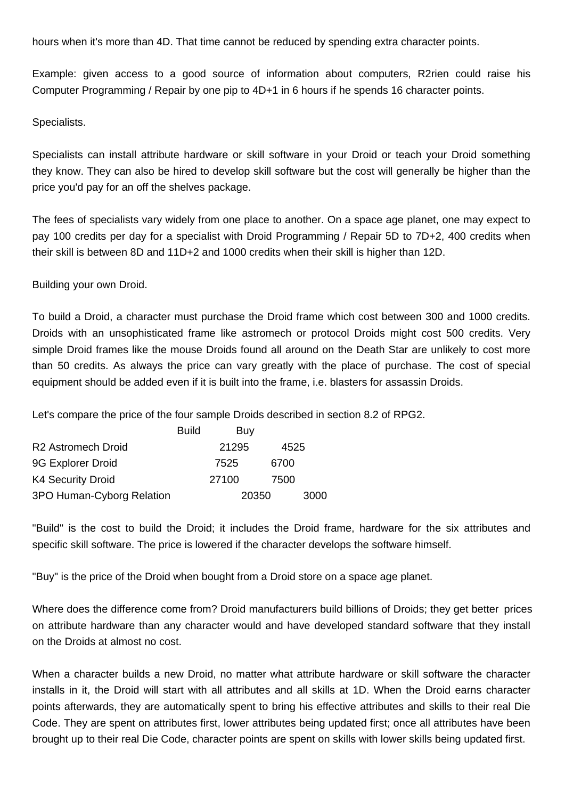hours when it's more than 4D. That time cannot be reduced by spending extra character points.

Example: given access to a good source of information about computers, R2rien could raise his Computer Programming / Repair by one pip to 4D+1 in 6 hours if he spends 16 character points.

Specialists.

Specialists can install attribute hardware or skill software in your Droid or teach your Droid something they know. They can also be hired to develop skill software but the cost will generally be higher than the price you'd pay for an off the shelves package.

The fees of specialists vary widely from one place to another. On a space age planet, one may expect to pay 100 credits per day for a specialist with Droid Programming / Repair 5D to 7D+2, 400 credits when their skill is between 8D and 11D+2 and 1000 credits when their skill is higher than 12D.

Building your own Droid.

To build a Droid, a character must purchase the Droid frame which cost between 300 and 1000 credits. Droids with an unsophisticated frame like astromech or protocol Droids might cost 500 credits. Very simple Droid frames like the mouse Droids found all around on the Death Star are unlikely to cost more than 50 credits. As always the price can vary greatly with the place of purchase. The cost of special equipment should be added even if it is built into the frame, i.e. blasters for assassin Droids.

Let's compare the price of the four sample Droids described in section 8.2 of RPG2.

|                           | <b>Build</b> | Buy   |      |      |
|---------------------------|--------------|-------|------|------|
| <b>R2 Astromech Droid</b> |              | 21295 | 4525 |      |
| 9G Explorer Droid         |              | 7525  | 6700 |      |
| <b>K4 Security Droid</b>  |              | 27100 | 7500 |      |
| 3PO Human-Cyborg Relation |              | 20350 |      | 3000 |

"Build" is the cost to build the Droid; it includes the Droid frame, hardware for the six attributes and specific skill software. The price is lowered if the character develops the software himself.

"Buy" is the price of the Droid when bought from a Droid store on a space age planet.

Where does the difference come from? Droid manufacturers build billions of Droids; they get better prices on attribute hardware than any character would and have developed standard software that they install on the Droids at almost no cost.

When a character builds a new Droid, no matter what attribute hardware or skill software the character installs in it, the Droid will start with all attributes and all skills at 1D. When the Droid earns character points afterwards, they are automatically spent to bring his effective attributes and skills to their real Die Code. They are spent on attributes first, lower attributes being updated first; once all attributes have been brought up to their real Die Code, character points are spent on skills with lower skills being updated first.